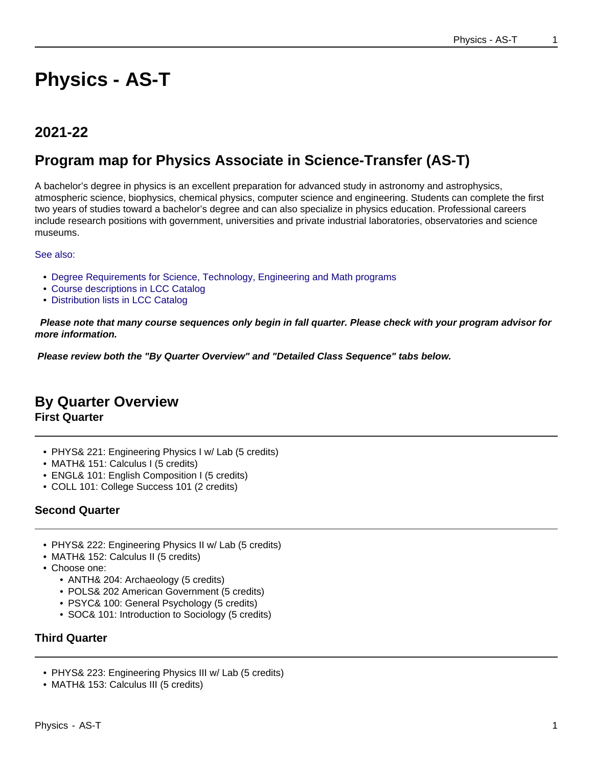# **Physics - AS-T**

# **2021-22**

# **Program map for Physics Associate in Science-Transfer (AS-T)**

A bachelor's degree in physics is an excellent preparation for advanced study in astronomy and astrophysics, atmospheric science, biophysics, chemical physics, computer science and engineering. Students can complete the first two years of studies toward a bachelor's degree and can also specialize in physics education. Professional careers include research positions with government, universities and private industrial laboratories, observatories and science museums.

See also:

- Degree Requirements for Science, Technology, Engineering and Math programs
- Course descriptions in LCC Catalog
- Distribution lists in LCC Catalog

 **Please note that many course sequences only begin in fall quarter. Please check with your program advisor for more information.**

**Please review both the "By Quarter Overview" and "Detailed Class Sequence" tabs below.**

## **By Quarter Overview First Quarter**

- PHYS& 221: Engineering Physics I w/ Lab (5 credits)
- MATH& 151: Calculus I (5 credits)
- ENGL& 101: English Composition I (5 credits)
- COLL 101: College Success 101 (2 credits)

#### **Second Quarter**

- PHYS& 222: Engineering Physics II w/ Lab (5 credits)
- MATH& 152: Calculus II (5 credits)
- Choose one:
	- ANTH& 204: Archaeology (5 credits)
	- POLS& 202 American Government (5 credits)
	- PSYC& 100: General Psychology (5 credits)
	- SOC& 101: Introduction to Sociology (5 credits)

### **Third Quarter**

- PHYS& 223: Engineering Physics III w/ Lab (5 credits)
- MATH& 153: Calculus III (5 credits)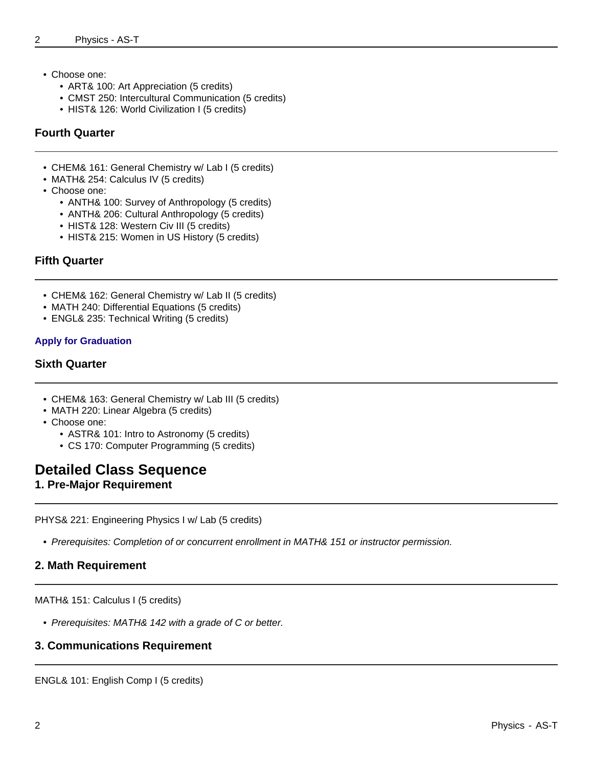- Choose one:
	- ART& 100: Art Appreciation (5 credits)
	- CMST 250: Intercultural Communication (5 credits)
	- HIST& 126: World Civilization I (5 credits)

#### **Fourth Quarter**

- CHEM& 161: General Chemistry w/ Lab I (5 credits)
- MATH& 254: Calculus IV (5 credits)
- Choose one:
	- ANTH& 100: Survey of Anthropology (5 credits)
	- ANTH& 206: Cultural Anthropology (5 credits)
	- HIST& 128: Western Civ III (5 credits)
	- HIST& 215: Women in US History (5 credits)

#### **Fifth Quarter**

- CHEM& 162: General Chemistry w/ Lab II (5 credits)
- MATH 240: Differential Equations (5 credits)
- ENGL& 235: Technical Writing (5 credits)

#### **Apply for Graduation**

#### **Sixth Quarter**

- CHEM& 163: General Chemistry w/ Lab III (5 credits)
- MATH 220: Linear Algebra (5 credits)
- Choose one:
	- ASTR& 101: Intro to Astronomy (5 credits)
	- CS 170: Computer Programming (5 credits)

### **Detailed Class Sequence**

#### **1. Pre-Major Requirement**

PHYS& 221: Engineering Physics I w/ Lab (5 credits)

• Prerequisites: Completion of or concurrent enrollment in MATH& 151 or instructor permission.

#### **2. Math Requirement**

MATH& 151: Calculus I (5 credits)

• Prerequisites: MATH& 142 with a grade of C or better.

#### **3. Communications Requirement**

ENGL& 101: English Comp I (5 credits)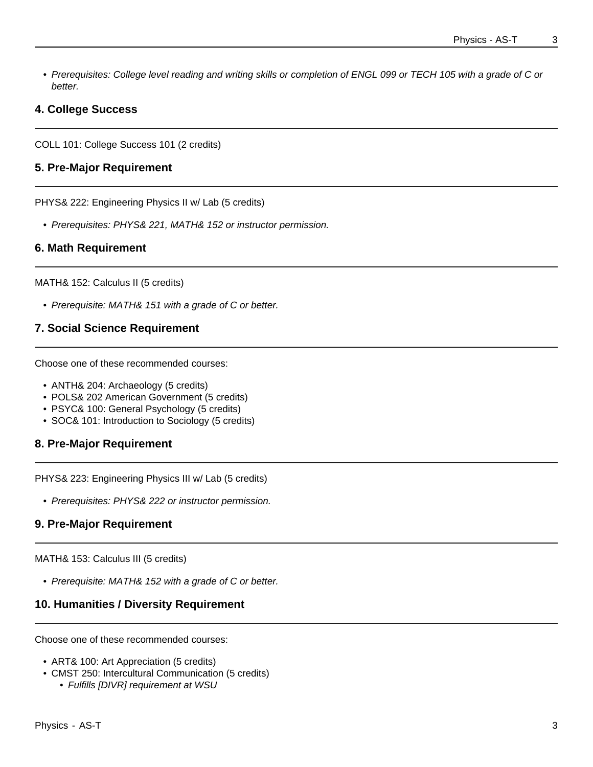• Prerequisites: College level reading and writing skills or completion of ENGL 099 or TECH 105 with a grade of C or better.

#### **4. College Success**

COLL 101: College Success 101 (2 credits)

#### **5. Pre-Major Requirement**

PHYS& 222: Engineering Physics II w/ Lab (5 credits)

• Prerequisites: PHYS& 221, MATH& 152 or instructor permission.

#### **6. Math Requirement**

MATH& 152: Calculus II (5 credits)

• Prerequisite: MATH& 151 with a grade of C or better.

#### **7. Social Science Requirement**

Choose one of these recommended courses:

- ANTH& 204: Archaeology (5 credits)
- POLS& 202 American Government (5 credits)
- PSYC& 100: General Psychology (5 credits)
- SOC& 101: Introduction to Sociology (5 credits)

#### **8. Pre-Major Requirement**

PHYS& 223: Engineering Physics III w/ Lab (5 credits)

• Prerequisites: PHYS& 222 or instructor permission.

#### **9. Pre-Major Requirement**

MATH& 153: Calculus III (5 credits)

• Prerequisite: MATH& 152 with a grade of C or better.

#### **10. Humanities / Diversity Requirement**

Choose one of these recommended courses:

- ART& 100: Art Appreciation (5 credits)
- CMST 250: Intercultural Communication (5 credits)
	- Fulfills [DIVR] requirement at WSU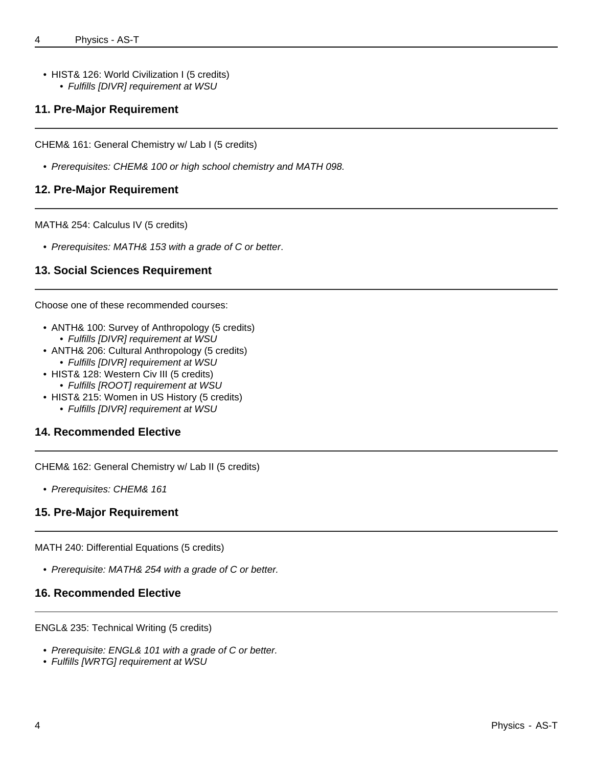• HIST& 126: World Civilization I (5 credits) • Fulfills [DIVR] requirement at WSU

#### **11. Pre-Major Requirement**

CHEM& 161: General Chemistry w/ Lab I (5 credits)

• Prerequisites: CHEM& 100 or high school chemistry and MATH 098.

#### **12. Pre-Major Requirement**

MATH& 254: Calculus IV (5 credits)

• Prerequisites: MATH& 153 with a grade of C or better.

#### **13. Social Sciences Requirement**

Choose one of these recommended courses:

- ANTH& 100: Survey of Anthropology (5 credits) • Fulfills [DIVR] requirement at WSU
- ANTH& 206: Cultural Anthropology (5 credits) • Fulfills [DIVR] requirement at WSU
- HIST& 128: Western Civ III (5 credits) • Fulfills [ROOT] requirement at WSU
	-
- HIST& 215: Women in US History (5 credits)
	- Fulfills [DIVR] requirement at WSU

#### **14. Recommended Elective**

CHEM& 162: General Chemistry w/ Lab II (5 credits)

• Prerequisites: CHEM& 161

#### **15. Pre-Major Requirement**

MATH 240: Differential Equations (5 credits)

• Prerequisite: MATH& 254 with a grade of C or better.

#### **16. Recommended Elective**

ENGL& 235: Technical Writing (5 credits)

- Prerequisite: ENGL& 101 with a grade of C or better.
- Fulfills [WRTG] requirement at WSU